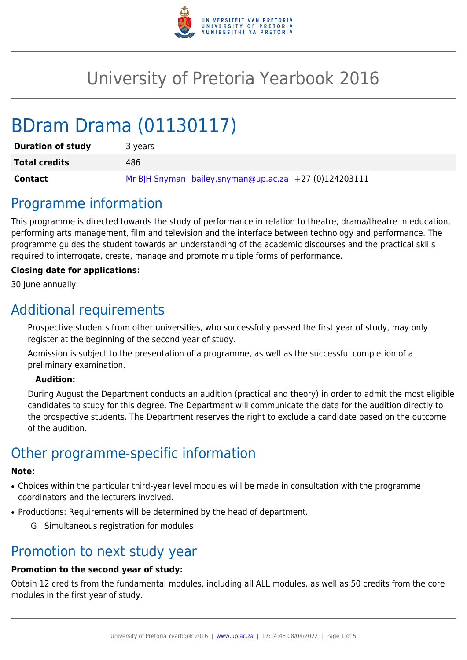

# University of Pretoria Yearbook 2016

# BDram Drama (01130117)

| <b>Duration of study</b> | 3 years                                                 |
|--------------------------|---------------------------------------------------------|
| <b>Total credits</b>     | 486                                                     |
| <b>Contact</b>           | Mr BJH Snyman bailey.snyman@up.ac.za $+27$ (0)124203111 |

## Programme information

This programme is directed towards the study of performance in relation to theatre, drama/theatre in education, performing arts management, film and television and the interface between technology and performance. The programme guides the student towards an understanding of the academic discourses and the practical skills required to interrogate, create, manage and promote multiple forms of performance.

#### **Closing date for applications:**

30 June annually

## Additional requirements

Prospective students from other universities, who successfully passed the first year of study, may only register at the beginning of the second year of study.

Admission is subject to the presentation of a programme, as well as the successful completion of a preliminary examination.

#### **Audition:**

During August the Department conducts an audition (practical and theory) in order to admit the most eligible candidates to study for this degree. The Department will communicate the date for the audition directly to the prospective students. The Department reserves the right to exclude a candidate based on the outcome of the audition.

# Other programme-specific information

#### **Note:**

- Choices within the particular third-year level modules will be made in consultation with the programme coordinators and the lecturers involved.
- Productions: Requirements will be determined by the head of department.
	- G Simultaneous registration for modules

### Promotion to next study year

### **Promotion to the second year of study:**

Obtain 12 credits from the fundamental modules, including all ALL modules, as well as 50 credits from the core modules in the first year of study.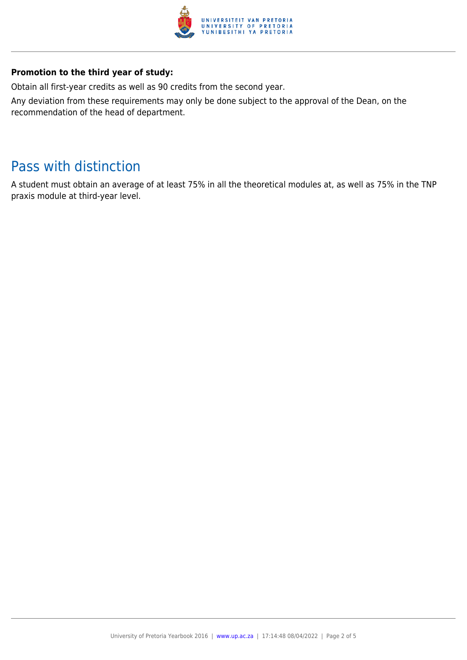

#### **Promotion to the third year of study:**

Obtain all first-year credits as well as 90 credits from the second year.

Any deviation from these requirements may only be done subject to the approval of the Dean, on the recommendation of the head of department.

# Pass with distinction

A student must obtain an average of at least 75% in all the theoretical modules at, as well as 75% in the TNP praxis module at third-year level.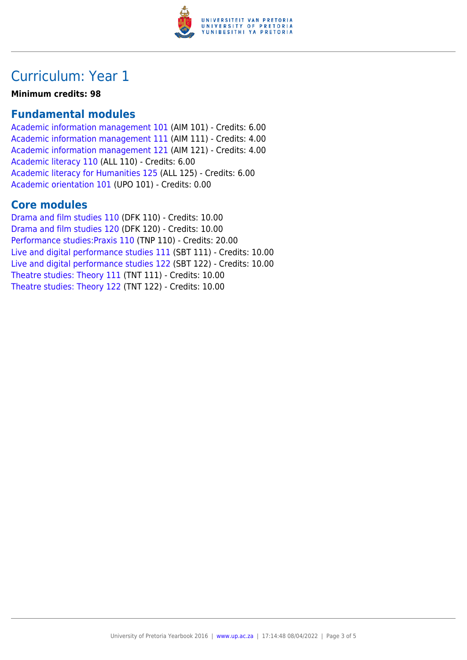

## Curriculum: Year 1

**Minimum credits: 98**

### **Fundamental modules**

[Academic information management 101](https://www.up.ac.za/faculty-of-education/yearbooks/2016/modules/view/AIM 101) (AIM 101) - Credits: 6.00 [Academic information management 111](https://www.up.ac.za/faculty-of-education/yearbooks/2016/modules/view/AIM 111) (AIM 111) - Credits: 4.00 [Academic information management 121](https://www.up.ac.za/faculty-of-education/yearbooks/2016/modules/view/AIM 121) (AIM 121) - Credits: 4.00 [Academic literacy 110](https://www.up.ac.za/faculty-of-education/yearbooks/2016/modules/view/ALL 110) (ALL 110) - Credits: 6.00 [Academic literacy for Humanities 125](https://www.up.ac.za/faculty-of-education/yearbooks/2016/modules/view/ALL 125) (ALL 125) - Credits: 6.00 [Academic orientation 101](https://www.up.ac.za/faculty-of-education/yearbooks/2016/modules/view/UPO 101) (UPO 101) - Credits: 0.00

### **Core modules**

[Drama and film studies 110](https://www.up.ac.za/faculty-of-education/yearbooks/2016/modules/view/DFK 110) (DFK 110) - Credits: 10.00 [Drama and film studies 120](https://www.up.ac.za/faculty-of-education/yearbooks/2016/modules/view/DFK 120) (DFK 120) - Credits: 10.00 [Performance studies:Praxis 110](https://www.up.ac.za/faculty-of-education/yearbooks/2016/modules/view/TNP 110) (TNP 110) - Credits: 20.00 [Live and digital performance studies 111](https://www.up.ac.za/faculty-of-education/yearbooks/2016/modules/view/SBT 111) (SBT 111) - Credits: 10.00 [Live and digital performance studies 122](https://www.up.ac.za/faculty-of-education/yearbooks/2016/modules/view/SBT 122) (SBT 122) - Credits: 10.00 [Theatre studies: Theory 111](https://www.up.ac.za/faculty-of-education/yearbooks/2016/modules/view/TNT 111) (TNT 111) - Credits: 10.00 [Theatre studies: Theory 122](https://www.up.ac.za/faculty-of-education/yearbooks/2016/modules/view/TNT 122) (TNT 122) - Credits: 10.00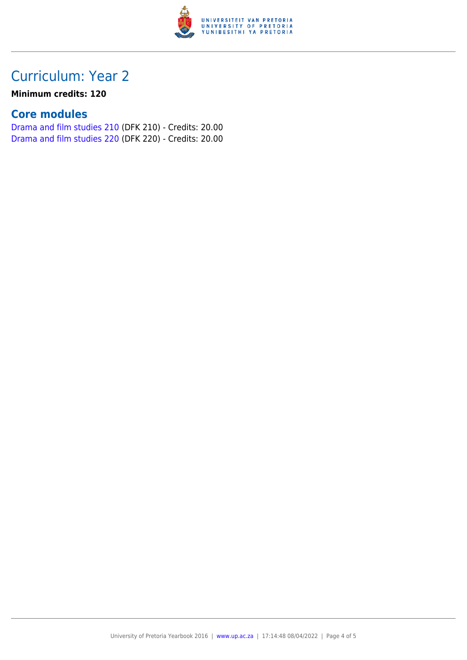

# Curriculum: Year 2

#### **Minimum credits: 120**

### **Core modules**

[Drama and film studies 210](https://www.up.ac.za/faculty-of-education/yearbooks/2016/modules/view/DFK 210) (DFK 210) - Credits: 20.00 [Drama and film studies 220](https://www.up.ac.za/faculty-of-education/yearbooks/2016/modules/view/DFK 220) (DFK 220) - Credits: 20.00